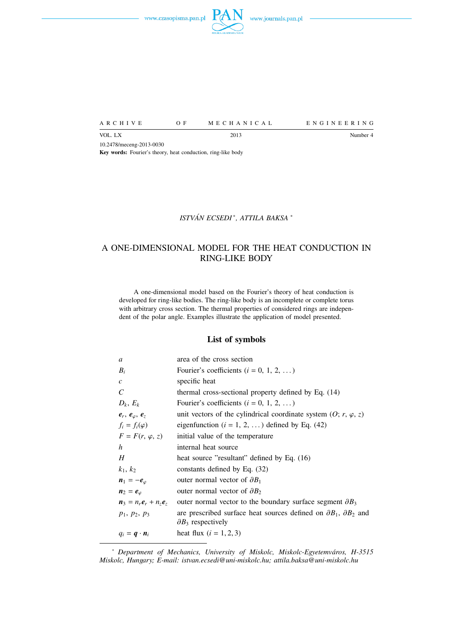



A R C H I V E O F M E C H A N I C A L E N G I N E E R I N G

VOL. LX Number 4 10.2478/meceng-2013-0030 **Key words:** Fourier's theory, heat conduction, ring-like body

## *ISTVAN ECSEDI ´* ∗ *, ATTILA BAKSA* <sup>∗</sup>

# A ONE-DIMENSIONAL MODEL FOR THE HEAT CONDUCTION IN RING-LIKE BODY

A one-dimensional model based on the Fourier's theory of heat conduction is developed for ring-like bodies. The ring-like body is an incomplete or complete torus with arbitrary cross section. The thermal properties of considered rings are independent of the polar angle. Examples illustrate the application of model presented.

#### **List of symbols**

| a                                             | area of the cross section                                                          |
|-----------------------------------------------|------------------------------------------------------------------------------------|
| $B_i$                                         | Fourier's coefficients $(i = 0, 1, 2, )$                                           |
| $\mathcal{C}_{0}^{2}$                         | specific heat                                                                      |
| C                                             | thermal cross-sectional property defined by Eq. (14)                               |
| $D_k, E_k$                                    | Fourier's coefficients ( $i = 0, 1, 2, $ )                                         |
| $e_r, e_{\varphi}, e_z$                       | unit vectors of the cylindrical coordinate system $(0; r, \varphi, z)$             |
| $f_i = f_i(\varphi)$                          | eigenfunction ( $i = 1, 2, $ ) defined by Eq. (42)                                 |
| $F = F(r, \varphi, z)$                        | initial value of the temperature                                                   |
| h                                             | internal heat source                                                               |
| H                                             | heat source "resultant" defined by Eq. (16)                                        |
| $k_1, k_2$                                    | constants defined by Eq. $(32)$                                                    |
| $n_1 = -e_\varphi$                            | outer normal vector of $\partial B_1$                                              |
| $n_2 = e_{\varphi}$                           | outer normal vector of $\partial B_2$                                              |
| $n_3 = n_r e_r + n_z e_z$                     | outer normal vector to the boundary surface segment $\partial B_3$                 |
| $p_1, p_2, p_3$                               | are prescribed surface heat sources defined on $\partial B_1$ , $\partial B_2$ and |
|                                               | $\partial B_3$ respectively                                                        |
| $q_i = \boldsymbol{q} \cdot \boldsymbol{n}_i$ | heat flux $(i = 1, 2, 3)$                                                          |

<sup>∗</sup> *Department of Mechanics, University of Miskolc, Miskolc-Egyetemvaros, H-3515 ´ Miskolc, Hungary; E-mail: istvan.ecsedi@uni-miskolc.hu; attila.baksa@uni-miskolc.hu*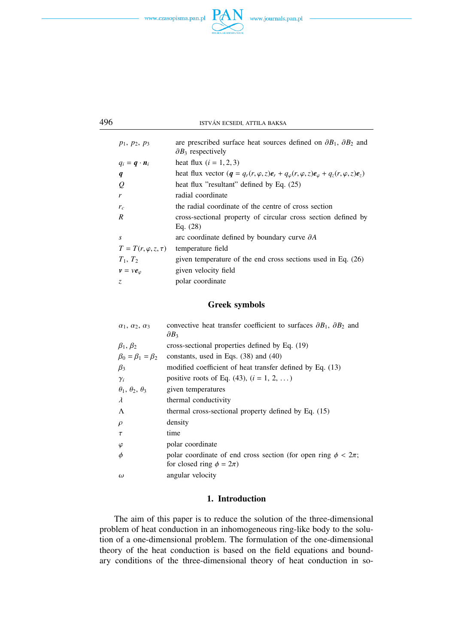



| $p_1, p_2, p_3$                               | are prescribed surface heat sources defined on $\partial B_1$ , $\partial B_2$ and<br>$\partial B_3$ respectively |
|-----------------------------------------------|-------------------------------------------------------------------------------------------------------------------|
| $q_i = \boldsymbol{q} \cdot \boldsymbol{n}_i$ | heat flux $(i = 1, 2, 3)$                                                                                         |
| q                                             | heat flux vector $(q = q_r(r, \varphi, z)e_r + q_\varphi(r, \varphi, z)e_\varphi + q_z(r, \varphi, z)e_z)$        |
| $\varrho$                                     | heat flux "resultant" defined by Eq. $(25)$                                                                       |
| r                                             | radial coordinate                                                                                                 |
| $r_c$                                         | the radial coordinate of the centre of cross section                                                              |
| R                                             | cross-sectional property of circular cross section defined by<br>Eq. $(28)$                                       |
| S                                             | arc coordinate defined by boundary curve $\partial A$                                                             |
| $T = T(r, \varphi, z, \tau)$                  | temperature field                                                                                                 |
| $T_1, T_2$                                    | given temperature of the end cross sections used in Eq. $(26)$                                                    |
| $v = v e_{\varphi}$                           | given velocity field                                                                                              |
| Z.                                            | polar coordinate                                                                                                  |
|                                               |                                                                                                                   |

## **Greek symbols**

| $\alpha_1$ , $\alpha_2$ , $\alpha_3$ | convective heat transfer coefficient to surfaces $\partial B_1$ , $\partial B_2$ and<br>$\partial B_3$ |
|--------------------------------------|--------------------------------------------------------------------------------------------------------|
| $\beta_1, \beta_2$                   | cross-sectional properties defined by Eq. (19)                                                         |
| $\beta_0 = \beta_1 = \beta_2$        | constants, used in Eqs. $(38)$ and $(40)$                                                              |
| $\beta_3$                            | modified coefficient of heat transfer defined by Eq. (13)                                              |
| $\gamma_i$                           | positive roots of Eq. (43), $(i = 1, 2, )$                                                             |
| $\theta_1$ , $\theta_2$ , $\theta_3$ | given temperatures                                                                                     |
| $\lambda$                            | thermal conductivity                                                                                   |
| Λ                                    | thermal cross-sectional property defined by Eq. (15)                                                   |
| $\rho$                               | density                                                                                                |
| τ                                    | time                                                                                                   |
| $\varphi$                            | polar coordinate                                                                                       |
| Φ                                    | polar coordinate of end cross section (for open ring $\phi < 2\pi$ ;                                   |
|                                      | for closed ring $\phi = 2\pi$ )                                                                        |
| $\omega$                             | angular velocity                                                                                       |

# **1. Introduction**

The aim of this paper is to reduce the solution of the three-dimensional problem of heat conduction in an inhomogeneous ring-like body to the solution of a one-dimensional problem. The formulation of the one-dimensional theory of the heat conduction is based on the field equations and boundary conditions of the three-dimensional theory of heat conduction in so-

496 **ISTVÁN ECSEDI, ATTILA BAKSA**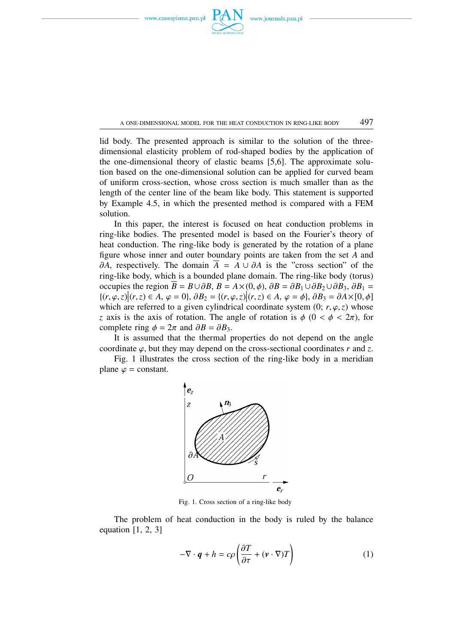

A ONE-DIMENSIONAL MODEL FOR THE HEAT CONDUCTION IN RING-LIKE BODY  $497$ 

lid body. The presented approach is similar to the solution of the threedimensional elasticity problem of rod-shaped bodies by the application of the one-dimensional theory of elastic beams [5,6]. The approximate solution based on the one-dimensional solution can be applied for curved beam of uniform cross-section, whose cross section is much smaller than as the length of the center line of the beam like body. This statement is supported by Example 4.5, in which the presented method is compared with a FEM solution.

In this paper, the interest is focused on heat conduction problems in ring-like bodies. The presented model is based on the Fourier's theory of heat conduction. The ring-like body is generated by the rotation of a plane figure whose inner and outer boundary points are taken from the set *A* and  $\partial A$ , respectively. The domain  $\overline{A}$  =  $A \cup \partial A$  is the "cross section" of the ring-like body, which is a bounded plane domain. The ring-like body (torus) occupies the region  $B = B \cup \partial B$ ,  $B = A \times (0, \phi)$ ,  $\partial B = \partial B_1 \cup \partial B_2 \cup \partial B_3$ ,  $\partial B_1 =$  ${(\{r, \varphi, z) | (r, z) \in A, \varphi = 0\}, \partial B_2 = {(\{r, \varphi, z) | (r, z) \in A, \varphi = \varphi\}, \partial B_3 = \partial A \times [0, \varphi]}$ which are referred to a given cylindrical coordinate system  $(0; r, \varphi, z)$  whose *z* axis is the axis of rotation. The angle of rotation is  $\phi$  (0 <  $\phi$  < 2 $\pi$ ), for complete ring  $\phi = 2\pi$  and  $\partial B = \partial B_3$ .

It is assumed that the thermal properties do not depend on the angle coordinate  $\varphi$ , but they may depend on the cross-sectional coordinates  $r$  and  $\zeta$ .

Fig. 1 illustrates the cross section of the ring-like body in a meridian plane  $\varphi$  = constant.



Fig. 1. Cross section of a ring-like body

The problem of heat conduction in the body is ruled by the balance equation  $[1, 2, 3]$ 

$$
-\nabla \cdot \boldsymbol{q} + h = c\rho \left( \frac{\partial T}{\partial \tau} + (\boldsymbol{v} \cdot \nabla) T \right)
$$
 (1)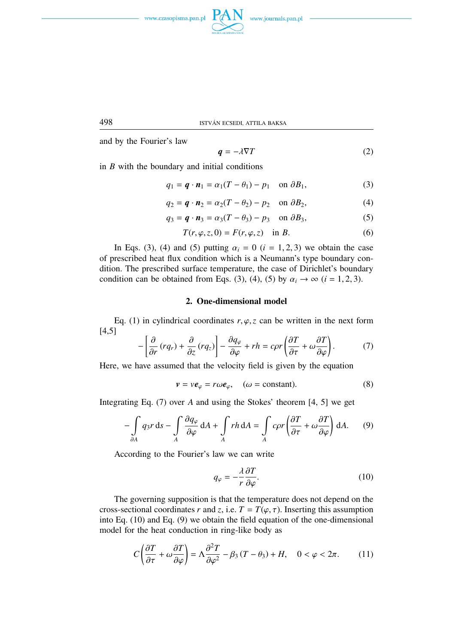





and by the Fourier's law

$$
q = -\lambda \nabla T \tag{2}
$$

in *B* with the boundary and initial conditions

$$
q_1 = \boldsymbol{q} \cdot \boldsymbol{n}_1 = \alpha_1 (T - \theta_1) - p_1 \quad \text{on } \partial B_1,\tag{3}
$$

$$
q_2 = \boldsymbol{q} \cdot \boldsymbol{n}_2 = \alpha_2 (T - \theta_2) - p_2 \quad \text{on } \partial B_2,\tag{4}
$$

$$
q_3 = \boldsymbol{q} \cdot \boldsymbol{n}_3 = \alpha_3 (T - \theta_3) - p_3 \quad \text{on } \partial B_3,\tag{5}
$$

$$
T(r, \varphi, z, 0) = F(r, \varphi, z) \quad \text{in } B.
$$
 (6)

In Eqs. (3), (4) and (5) putting  $\alpha_i = 0$  ( $i = 1, 2, 3$ ) we obtain the case of prescribed heat flux condition which is a Neumann's type boundary condition. The prescribed surface temperature, the case of Dirichlet's boundary condition can be obtained from Eqs. (3), (4), (5) by  $\alpha_i \to \infty$  (*i* = 1, 2, 3).

## **2. One-dimensional model**

Eq. (1) in cylindrical coordinates  $r, \varphi, z$  can be written in the next form [4,5] .<br>Г .<br>1  $\overline{1}$ 

$$
-\left[\frac{\partial}{\partial r}\left(rq_{r}\right)+\frac{\partial}{\partial z}\left(rq_{z}\right)\right]-\frac{\partial q_{\varphi}}{\partial \varphi}+rh= c\rho r\left(\frac{\partial T}{\partial \tau}+\omega\frac{\partial T}{\partial \varphi}\right).
$$
 (7)

Here, we have assumed that the velocity field is given by the equation

$$
\mathbf{v} = v\mathbf{e}_{\varphi} = r\omega\mathbf{e}_{\varphi}, \quad (\omega = \text{constant}). \tag{8}
$$

Integrating Eq. (7) over *A* and using the Stokes' theorem [4, 5] we get

$$
-\int_{\partial A} q_3 r \, ds - \int_A \frac{\partial q_\varphi}{\partial \varphi} \, dA + \int_A r h \, dA = \int_A c \rho r \left( \frac{\partial T}{\partial \tau} + \omega \frac{\partial T}{\partial \varphi} \right) dA. \tag{9}
$$

According to the Fourier's law we can write

$$
q_{\varphi} = -\frac{\lambda}{r} \frac{\partial T}{\partial \varphi}.
$$
 (10)

The governing supposition is that the temperature does not depend on the cross-sectional coordinates *r* and *z*, i.e.  $T = T(\varphi, \tau)$ . Inserting this assumption into Eq. (10) and Eq. (9) we obtain the field equation of the one-dimensional model for the heat conduction in ring-like body as

$$
C\left(\frac{\partial T}{\partial \tau} + \omega \frac{\partial T}{\partial \varphi}\right) = \Lambda \frac{\partial^2 T}{\partial \varphi^2} - \beta_3 (T - \theta_3) + H, \quad 0 < \varphi < 2\pi. \tag{11}
$$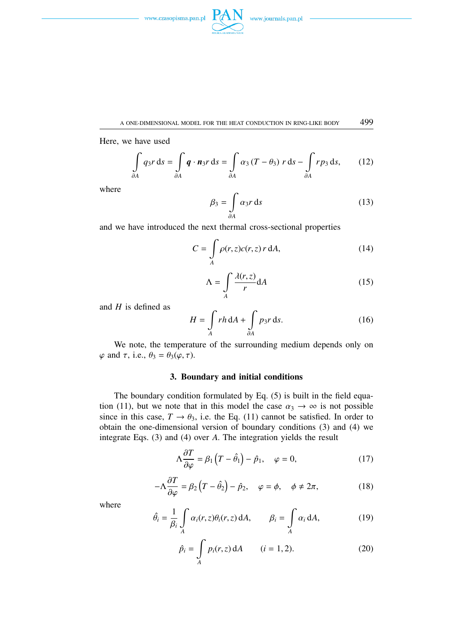

Here, we have used

$$
\int_{\partial A} q_3 r \, ds = \int_{\partial A} \boldsymbol{q} \cdot \boldsymbol{n}_3 r \, ds = \int_{\partial A} \alpha_3 (T - \theta_3) r \, ds - \int_{\partial A} r p_3 \, ds, \qquad (12)
$$

where

$$
\beta_3 = \int_{\partial A} \alpha_3 r \, \mathrm{d}s \tag{13}
$$

and we have introduced the next thermal cross-sectional properties

$$
C = \int_{A} \rho(r, z)c(r, z) r \, dA,\tag{14}
$$

$$
\Lambda = \int\limits_A \frac{\lambda(r, z)}{r} dA \tag{15}
$$

and *H* is defined as

$$
H = \int_{A} rh \, dA + \int_{\partial A} p_3 r \, ds. \tag{16}
$$

We note, the temperature of the surrounding medium depends only on  $\varphi$  and  $\tau$ , i.e.,  $\theta_3 = \theta_3(\varphi, \tau)$ .

## **3. Boundary and initial conditions**

The boundary condition formulated by Eq. (5) is built in the field equation (11), but we note that in this model the case  $\alpha_3 \to \infty$  is not possible since in this case,  $T \rightarrow \theta_3$ , i.e. the Eq. (11) cannot be satisfied. In order to obtain the one-dimensional version of boundary conditions (3) and (4) we integrate Eqs. (3) and (4) over *A*. The integration yields the result

$$
\Lambda \frac{\partial T}{\partial \varphi} = \beta_1 \left( T - \hat{\theta}_1 \right) - \hat{p}_1, \quad \varphi = 0,
$$
\n(17)

$$
-\Lambda \frac{\partial T}{\partial \varphi} = \beta_2 \left( T - \hat{\theta}_2 \right) - \hat{p}_2, \quad \varphi = \phi, \quad \phi \neq 2\pi, \tag{18}
$$

where

$$
\hat{\theta}_i = \frac{1}{\beta_i} \int_A \alpha_i(r, z) \theta_i(r, z) dA, \qquad \beta_i = \int_A \alpha_i dA, \qquad (19)
$$

$$
\hat{p}_i = \int_A p_i(r, z) \, dA \qquad (i = 1, 2). \tag{20}
$$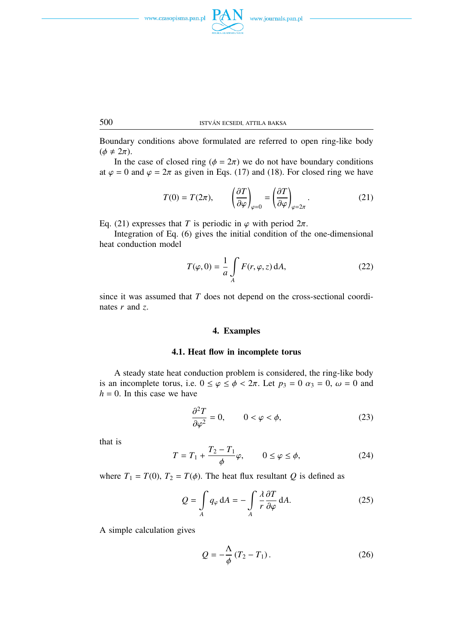



500 ISTVAN ECSEDI, ATTILA BAKSA ´

Boundary conditions above formulated are referred to open ring-like body  $(\phi \neq 2\pi)$ .

In the case of closed ring ( $\phi = 2\pi$ ) we do not have boundary conditions at  $\varphi = 0$  and  $\varphi = 2\pi$  as given in Eqs. (17) and (18). For closed ring we have

$$
T(0) = T(2\pi), \qquad \left(\frac{\partial T}{\partial \varphi}\right)_{\varphi=0} = \left(\frac{\partial T}{\partial \varphi}\right)_{\varphi=2\pi}.
$$
 (21)

Eq. (21) expresses that *T* is periodic in  $\varphi$  with period  $2\pi$ .

Integration of Eq. (6) gives the initial condition of the one-dimensional heat conduction model

$$
T(\varphi, 0) = \frac{1}{a} \int\limits_{A} F(r, \varphi, z) \, dA,\tag{22}
$$

since it was assumed that *T* does not depend on the cross-sectional coordinates *r* and *z*.

### **4. Examples**

#### **4.1. Heat flow in incomplete torus**

A steady state heat conduction problem is considered, the ring-like body is an incomplete torus, i.e.  $0 \le \varphi \le \phi < 2\pi$ . Let  $p_3 = 0$   $\alpha_3 = 0$ ,  $\omega = 0$  and  $h = 0$ . In this case we have

$$
\frac{\partial^2 T}{\partial \varphi^2} = 0, \qquad 0 < \varphi < \phi,\tag{23}
$$

that is

$$
T = T_1 + \frac{T_2 - T_1}{\phi} \varphi, \qquad 0 \le \varphi \le \phi,
$$
 (24)

where  $T_1 = T(0)$ ,  $T_2 = T(\phi)$ . The heat flux resultant *Q* is defined as

$$
Q = \int_{A} q_{\varphi} dA = -\int_{A} \frac{\lambda}{r} \frac{\partial T}{\partial \varphi} dA.
$$
 (25)

A simple calculation gives

$$
Q = -\frac{\Lambda}{\phi} (T_2 - T_1). \tag{26}
$$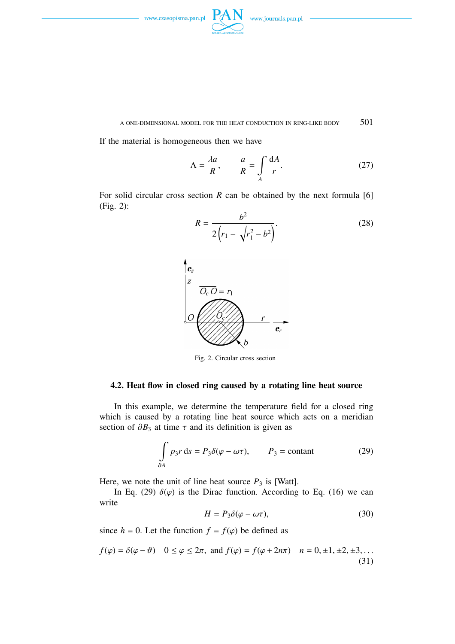

A ONE-DIMENSIONAL MODEL FOR THE HEAT CONDUCTION IN RING-LIKE BODY  $501$ 

If the material is homogeneous then we have

$$
\Lambda = \frac{\lambda a}{R}, \qquad \frac{a}{R} = \int\limits_{A} \frac{dA}{r}.
$$
 (27)

For solid circular cross section *R* can be obtained by the next formula [6] (Fig. 2):





Fig. 2. Circular cross section

## **4.2. Heat flow in closed ring caused by a rotating line heat source**

In this example, we determine the temperature field for a closed ring which is caused by a rotating line heat source which acts on a meridian section of  $\partial B_3$  at time  $\tau$  and its definition is given as

$$
\int_{\partial A} p_3 r \, ds = P_3 \delta(\varphi - \omega \tau), \qquad P_3 = \text{constant} \tag{29}
$$

Here, we note the unit of line heat source  $P_3$  is [Watt].

In Eq. (29)  $\delta(\varphi)$  is the Dirac function. According to Eq. (16) we can write

$$
H = P_3 \delta(\varphi - \omega \tau), \tag{30}
$$

since  $h = 0$ . Let the function  $f = f(\varphi)$  be defined as

$$
f(\varphi) = \delta(\varphi - \vartheta) \quad 0 \le \varphi \le 2\pi, \text{ and } f(\varphi) = f(\varphi + 2n\pi) \quad n = 0, \pm 1, \pm 2, \pm 3, \dots
$$
\n(31)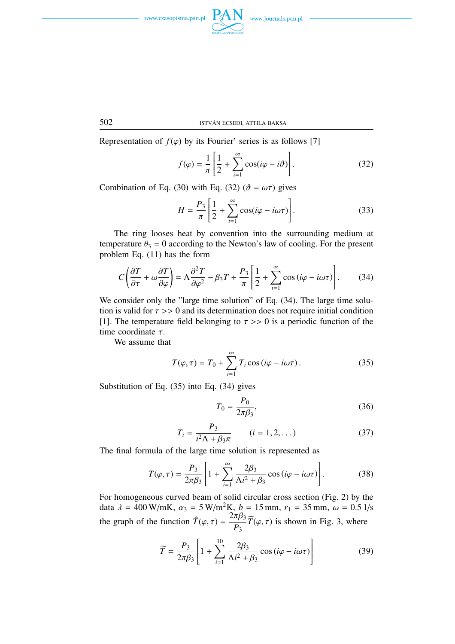



Representation of  $f(\varphi)$  by its Fourier' series is as follows [7]

$$
f(\varphi) = \frac{1}{\pi} \left[ \frac{1}{2} + \sum_{i=1}^{\infty} \cos(i\varphi - i\vartheta) \right].
$$
 (32)

Combination of Eq. (30) with Eq. (32) ( $\vartheta = \omega \tau$ ) gives

$$
H = \frac{P_3}{\pi} \left[ \frac{1}{2} + \sum_{i=1}^{\infty} \cos(i\varphi - i\omega\tau) \right].
$$
 (33)

The ring looses heat by convention into the surrounding medium at temperature  $\theta_3 = 0$  according to the Newton's law of cooling. For the present problem Eq. (11) has the form

$$
C\left(\frac{\partial T}{\partial \tau} + \omega \frac{\partial T}{\partial \varphi}\right) = \Lambda \frac{\partial^2 T}{\partial \varphi^2} - \beta_3 T + \frac{P_3}{\pi} \left[ \frac{1}{2} + \sum_{i=1}^{\infty} \cos\left(i\varphi - i\omega\tau\right) \right].
$$
 (34)

We consider only the "large time solution" of Eq. (34). The large time solution is valid for  $\tau >> 0$  and its determination does not require initial condition [1]. The temperature field belonging to  $\tau >> 0$  is a periodic function of the time coordinate  $\tau$ .

We assume that

$$
T(\varphi, \tau) = T_0 + \sum_{i=1}^{\infty} T_i \cos(i\varphi - i\omega\tau).
$$
 (35)

Substitution of Eq. (35) into Eq. (34) gives

$$
T_0 = \frac{P_0}{2\pi\beta_3},\tag{36}
$$

$$
T_i = \frac{P_3}{i^2 \Lambda + \beta_3 \pi} \qquad (i = 1, 2, ...)
$$
 (37)

The final formula of the large time solution is represented as

$$
T(\varphi,\tau) = \frac{P_3}{2\pi\beta_3} \left[ 1 + \sum_{i=1}^{\infty} \frac{2\beta_3}{\Lambda i^2 + \beta_3} \cos\left(i\varphi - i\omega\tau\right) \right].
$$
 (38)

For homogeneous curved beam of solid circular cross section (Fig. 2) by the data  $\lambda = 400 \text{ W/mK}$ ,  $\alpha_3 = 5 \text{ W/m}^2 \text{K}$ ,  $b = 15 \text{ mm}$ ,  $r_1 = 35 \text{ mm}$ ,  $\omega = 0.5 1/\text{s}$ the graph of the function  $\hat{T}(\varphi, \tau) = \frac{2\pi\beta_3}{R}$ *P*3  $\widetilde{T}(\varphi, \tau)$  is shown in Fig. 3, where

$$
\widetilde{T} = \frac{P_3}{2\pi\beta_3} \left[ 1 + \sum_{i=1}^{10} \frac{2\beta_3}{\Lambda i^2 + \beta_3} \cos\left(i\varphi - i\omega\tau\right) \right]
$$
(39)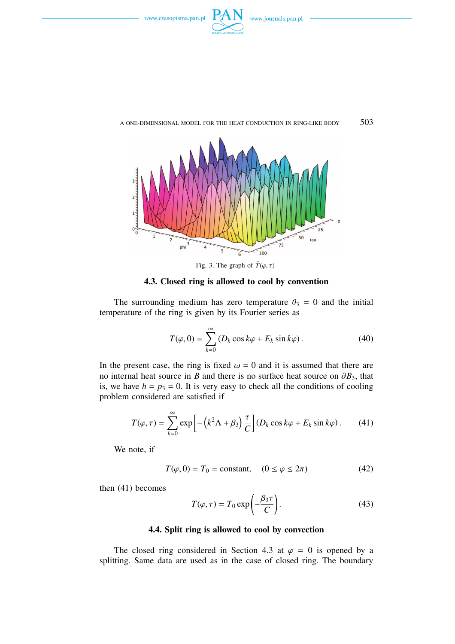



**4.3. Closed ring is allowed to cool by convention**

The surrounding medium has zero temperature  $\theta_3 = 0$  and the initial temperature of the ring is given by its Fourier series as

$$
T(\varphi, 0) = \sum_{k=0}^{\infty} \left( D_k \cos k\varphi + E_k \sin k\varphi \right). \tag{40}
$$

In the present case, the ring is fixed  $\omega = 0$  and it is assumed that there are no internal heat source in *B* and there is no surface heat source on  $\partial B_3$ , that is, we have  $h = p_3 = 0$ . It is very easy to check all the conditions of cooling problem considered are satisfied if

$$
T(\varphi, \tau) = \sum_{k=0}^{\infty} \exp\left[-\left(k^2 \Lambda + \beta_3\right) \frac{\tau}{C}\right] (D_k \cos k\varphi + E_k \sin k\varphi).
$$
 (41)

We note, if

$$
T(\varphi, 0) = T_0 = \text{constant}, \quad (0 \le \varphi \le 2\pi) \tag{42}
$$

then (41) becomes

$$
T(\varphi, \tau) = T_0 \exp\left(-\frac{\beta_3 \tau}{C}\right).
$$
 (43)

#### **4.4. Split ring is allowed to cool by convection**

The closed ring considered in Section 4.3 at  $\varphi = 0$  is opened by a splitting. Same data are used as in the case of closed ring. The boundary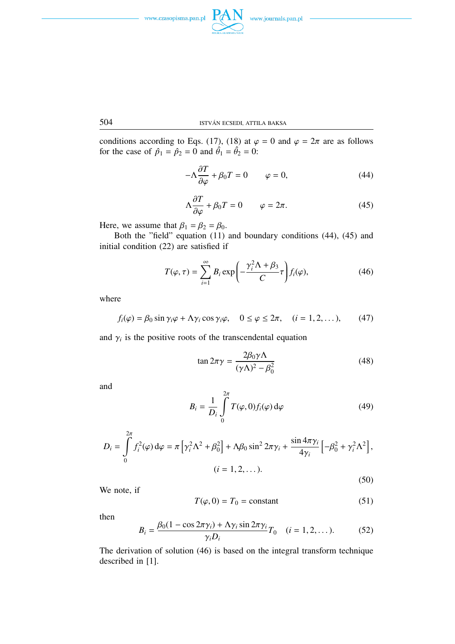





conditions according to Eqs. (17), (18) at 
$$
\varphi = 0
$$
 and  $\varphi = 2\pi$  are as follows  
for the case of  $\hat{p}_1 = \hat{p}_2 = 0$  and  $\hat{\theta}_1 = \hat{\theta}_2 = 0$ :

$$
-\Lambda \frac{\partial T}{\partial \varphi} + \beta_0 T = 0 \qquad \varphi = 0, \tag{44}
$$

$$
\Lambda \frac{\partial T}{\partial \varphi} + \beta_0 T = 0 \qquad \varphi = 2\pi. \tag{45}
$$

Here, we assume that  $\beta_1 = \beta_2 = \beta_0$ .

Both the "field" equation (11) and boundary conditions (44), (45) and initial condition (22) are satisfied if

$$
T(\varphi,\tau) = \sum_{i=1}^{\infty} B_i \exp\left(-\frac{\gamma_i^2 \Lambda + \beta_3}{C}\tau\right) f_i(\varphi), \tag{46}
$$

where

$$
f_i(\varphi) = \beta_0 \sin \gamma_i \varphi + \Lambda \gamma_i \cos \gamma_i \varphi, \quad 0 \le \varphi \le 2\pi, \quad (i = 1, 2, \dots), \tag{47}
$$

and  $\gamma$ <sup>*i*</sup> is the positive roots of the transcendental equation

$$
\tan 2\pi \gamma = \frac{2\beta_0 \gamma \Lambda}{(\gamma \Lambda)^2 - \beta_0^2}
$$
 (48)

and

$$
B_i = \frac{1}{D_i} \int\limits_0^{2\pi} T(\varphi, 0) f_i(\varphi) d\varphi \tag{49}
$$

$$
D_{i} = \int_{0}^{2\pi} f_{i}^{2}(\varphi) d\varphi = \pi \left[ \gamma_{i}^{2} \Lambda^{2} + \beta_{0}^{2} \right] + \Lambda \beta_{0} \sin^{2} 2\pi \gamma_{i} + \frac{\sin 4\pi \gamma_{i}}{4\gamma_{i}} \left[ -\beta_{0}^{2} + \gamma_{i}^{2} \Lambda^{2} \right],
$$
  
(*i* = 1, 2, ...). (50)

We note, if

$$
T(\varphi, 0) = T_0 = \text{constant} \tag{51}
$$

then

$$
B_i = \frac{\beta_0 (1 - \cos 2\pi \gamma_i) + \Lambda \gamma_i \sin 2\pi \gamma_i}{\gamma_i D_i} T_0 \quad (i = 1, 2, \dots). \tag{52}
$$

The derivation of solution (46) is based on the integral transform technique described in [1].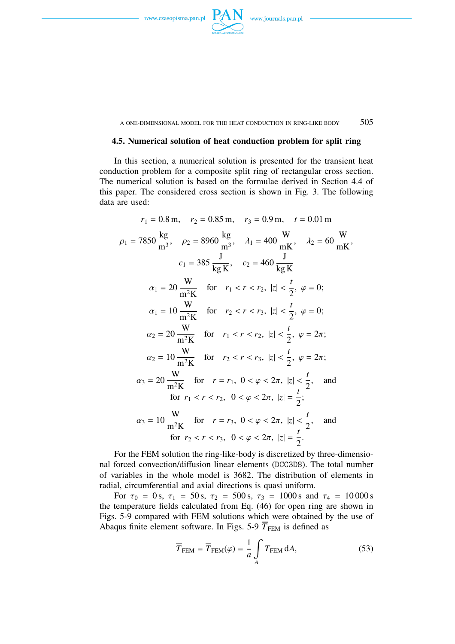

A ONE-DIMENSIONAL MODEL FOR THE HEAT CONDUCTION IN RING-LIKE BODY  $505$ 

### **4.5. Numerical solution of heat conduction problem for split ring**

In this section, a numerical solution is presented for the transient heat conduction problem for a composite split ring of rectangular cross section. The numerical solution is based on the formulae derived in Section 4.4 of this paper. The considered cross section is shown in Fig. 3. The following data are used:

$$
r_1 = 0.8 \text{ m}, \quad r_2 = 0.85 \text{ m}, \quad r_3 = 0.9 \text{ m}, \quad t = 0.01 \text{ m}
$$
\n
$$
\rho_1 = 7850 \frac{\text{kg}}{\text{m}^3}, \quad \rho_2 = 8960 \frac{\text{kg}}{\text{m}^3}, \quad \lambda_1 = 400 \frac{\text{W}}{\text{mK}}, \quad \lambda_2 = 60 \frac{\text{W}}{\text{mK}},
$$
\n
$$
c_1 = 385 \frac{\text{J}}{\text{kg K}}, \quad c_2 = 460 \frac{\text{J}}{\text{kg K}}
$$
\n
$$
\alpha_1 = 20 \frac{\text{W}}{\text{m}^2 \text{K}} \quad \text{for} \quad r_1 < r < r_2, \ |z| < \frac{t}{2}, \ \varphi = 0;
$$
\n
$$
\alpha_1 = 10 \frac{\text{W}}{\text{m}^2 \text{K}} \quad \text{for} \quad r_2 < r < r_3, \ |z| < \frac{t}{2}, \ \varphi = 0;
$$
\n
$$
\alpha_2 = 20 \frac{\text{W}}{\text{m}^2 \text{K}} \quad \text{for} \quad r_1 < r < r_2, \ |z| < \frac{t}{2}, \ \varphi = 2\pi;
$$
\n
$$
\alpha_2 = 10 \frac{\text{W}}{\text{m}^2 \text{K}} \quad \text{for} \quad r_2 < r < r_3, \ |z| < \frac{t}{2}, \ \varphi = 2\pi;
$$
\n
$$
\alpha_3 = 20 \frac{\text{W}}{\text{m}^2 \text{K}} \quad \text{for} \quad r = r_1, \ 0 < \varphi < 2\pi, \ |z| < \frac{t}{2}, \quad \text{and}
$$
\n
$$
\text{for} \quad r_1 < r < r_2, \ 0 < \varphi < 2\pi, \ |z| < \frac{t}{2}, \quad \text{and}
$$
\n
$$
\text{for} \quad r_2 < r < r_3, \ 0 < \varphi < 2\pi, \ |z| < \frac{t}{2}, \
$$

For the FEM solution the ring-like-body is discretized by three-dimensional forced convection/diffusion linear elements (DCC3D8). The total number of variables in the whole model is 3682. The distribution of elements in radial, circumferential and axial directions is quasi uniform.

For  $\tau_0 = 0$  s,  $\tau_1 = 50$  s,  $\tau_2 = 500$  s,  $\tau_3 = 1000$  s and  $\tau_4 = 10000$  s the temperature fields calculated from Eq. (46) for open ring are shown in Figs. 5-9 compared with FEM solutions which were obtained by the use of Abaqus finite element software. In Figs. 5-9  $\overline{T}_{\text{FEM}}$  is defined as

$$
\overline{T}_{\text{FEM}} = \overline{T}_{\text{FEM}}(\varphi) = \frac{1}{a} \int_{A} T_{\text{FEM}} \, dA,\tag{53}
$$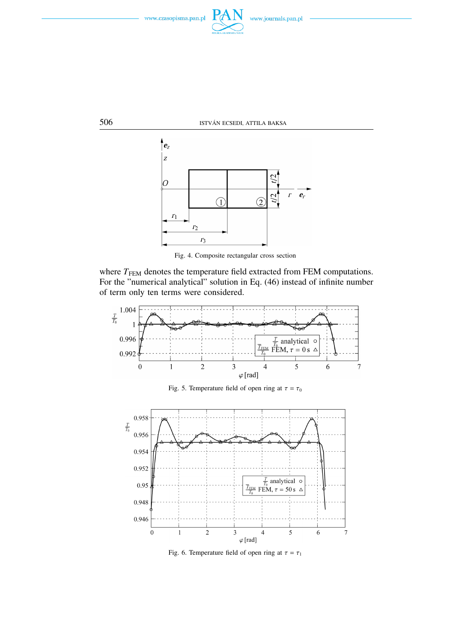





Fig. 4. Composite rectangular cross section

where  $T<sub>FEM</sub>$  denotes the temperature field extracted from FEM computations. For the "numerical analytical" solution in Eq. (46) instead of infinite number of term only ten terms were considered.



Fig. 6. Temperature field of open ring at  $\tau = \tau_1$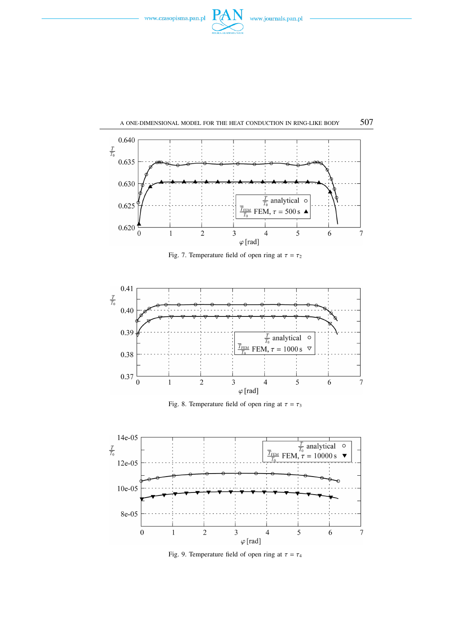











Fig. 9. Temperature field of open ring at  $\tau = \tau_4$